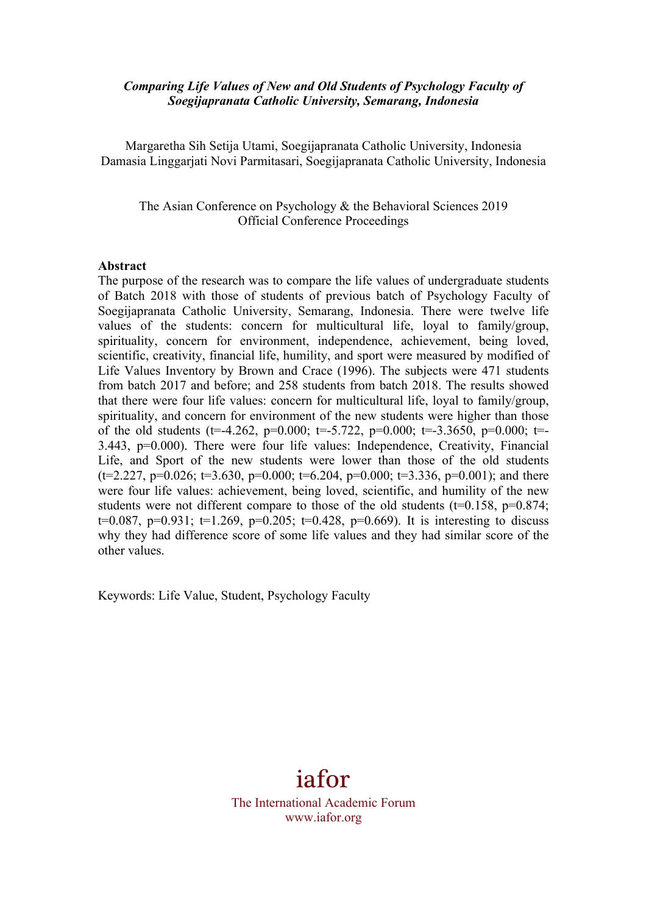### *Comparing Life Values of New and Old Students of Psychology Faculty of Soegijapranata Catholic University, Semarang, Indonesia*

Margaretha Sih Setija Utami, Soegijapranata Catholic University, Indonesia Damasia Linggarjati Novi Parmitasari, Soegijapranata Catholic University, Indonesia

The Asian Conference on Psychology & the Behavioral Sciences 2019 Official Conference Proceedings

#### **Abstract**

The purpose of the research was to compare the life values of undergraduate students of Batch 2018 with those of students of previous batch of Psychology Faculty of Soegijapranata Catholic University, Semarang, Indonesia. There were twelve life values of the students: concern for multicultural life, loyal to family/group, spirituality, concern for environment, independence, achievement, being loved, scientific, creativity, financial life, humility, and sport were measured by modified of Life Values Inventory by Brown and Crace (1996). The subjects were 471 students from batch 2017 and before; and 258 students from batch 2018. The results showed that there were four life values: concern for multicultural life, loyal to family/group, spirituality, and concern for environment of the new students were higher than those of the old students (t=-4.262, p=0.000; t=-5.722, p=0.000; t=-3.3650, p=0.000; t=-3.443, p=0.000). There were four life values: Independence, Creativity, Financial Life, and Sport of the new students were lower than those of the old students  $(t=2.227, p=0.026; t=3.630, p=0.000; t=6.204, p=0.000; t=3.336, p=0.001)$ ; and there were four life values: achievement, being loved, scientific, and humility of the new students were not different compare to those of the old students  $(t=0.158, p=0.874;$ t=0.087, p=0.931; t=1.269, p=0.205; t=0.428, p=0.669). It is interesting to discuss why they had difference score of some life values and they had similar score of the other values.

Keywords: Life Value, Student, Psychology Faculty

# iafor

The International Academic Forum www.iafor.org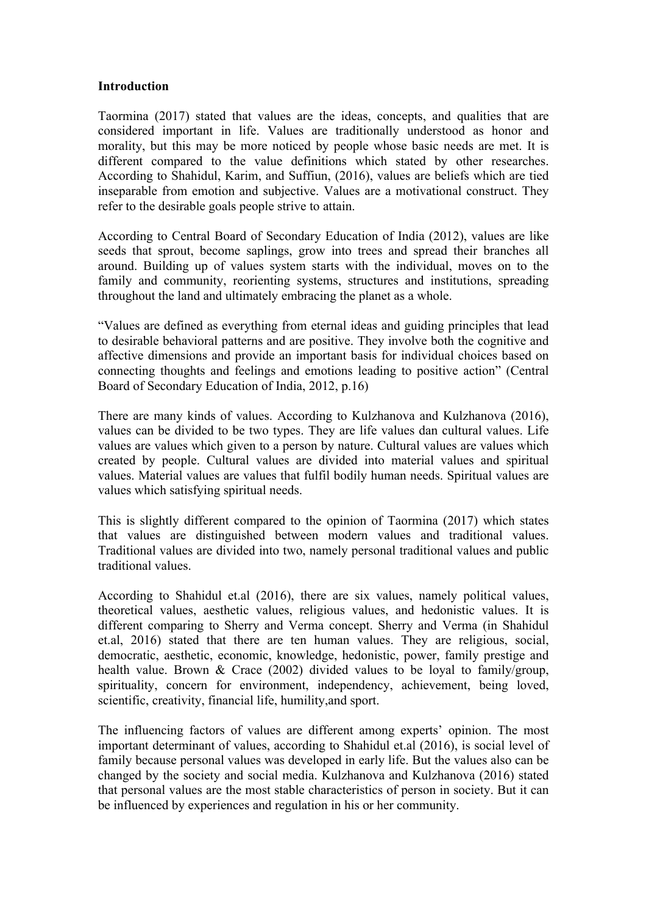#### **Introduction**

Taormina (2017) stated that values are the ideas, concepts, and qualities that are considered important in life. Values are traditionally understood as honor and morality, but this may be more noticed by people whose basic needs are met. It is different compared to the value definitions which stated by other researches. According to Shahidul, Karim, and Suffiun, (2016), values are beliefs which are tied inseparable from emotion and subjective. Values are a motivational construct. They refer to the desirable goals people strive to attain.

According to Central Board of Secondary Education of India (2012), values are like seeds that sprout, become saplings, grow into trees and spread their branches all around. Building up of values system starts with the individual, moves on to the family and community, reorienting systems, structures and institutions, spreading throughout the land and ultimately embracing the planet as a whole.

"Values are defined as everything from eternal ideas and guiding principles that lead to desirable behavioral patterns and are positive. They involve both the cognitive and affective dimensions and provide an important basis for individual choices based on connecting thoughts and feelings and emotions leading to positive action" (Central Board of Secondary Education of India, 2012, p.16)

There are many kinds of values. According to Kulzhanova and Kulzhanova (2016), values can be divided to be two types. They are life values dan cultural values. Life values are values which given to a person by nature. Cultural values are values which created by people. Cultural values are divided into material values and spiritual values. Material values are values that fulfil bodily human needs. Spiritual values are values which satisfying spiritual needs.

This is slightly different compared to the opinion of Taormina (2017) which states that values are distinguished between modern values and traditional values. Traditional values are divided into two, namely personal traditional values and public traditional values.

According to Shahidul et.al (2016), there are six values, namely political values, theoretical values, aesthetic values, religious values, and hedonistic values. It is different comparing to Sherry and Verma concept. Sherry and Verma (in Shahidul et.al, 2016) stated that there are ten human values. They are religious, social, democratic, aesthetic, economic, knowledge, hedonistic, power, family prestige and health value. Brown & Crace (2002) divided values to be loyal to family/group, spirituality, concern for environment, independency, achievement, being loved, scientific, creativity, financial life, humility,and sport.

The influencing factors of values are different among experts' opinion. The most important determinant of values, according to Shahidul et.al (2016), is social level of family because personal values was developed in early life. But the values also can be changed by the society and social media. Kulzhanova and Kulzhanova (2016) stated that personal values are the most stable characteristics of person in society. But it can be influenced by experiences and regulation in his or her community.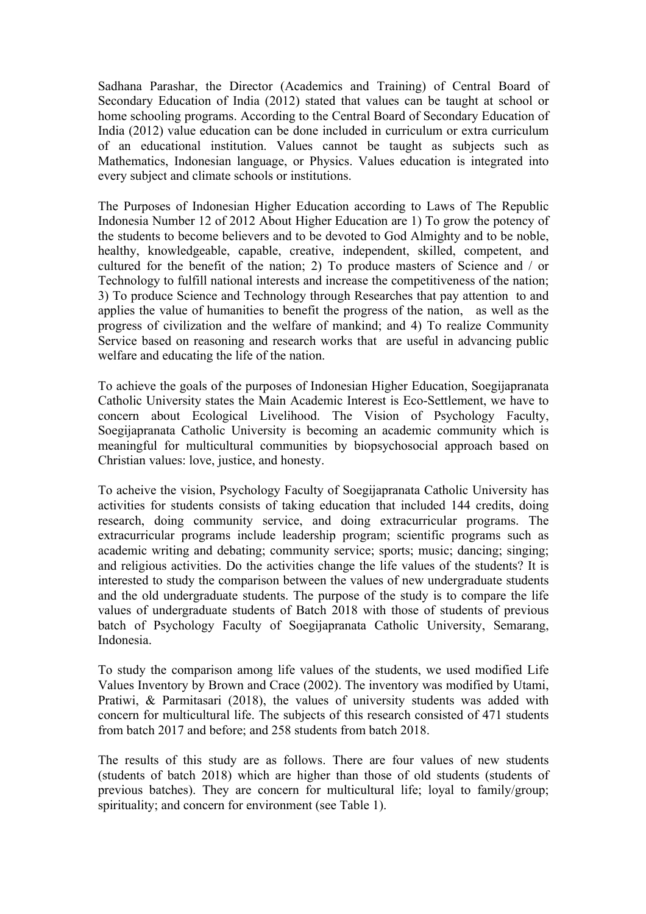Sadhana Parashar, the Director (Academics and Training) of Central Board of Secondary Education of India (2012) stated that values can be taught at school or home schooling programs. According to the Central Board of Secondary Education of India (2012) value education can be done included in curriculum or extra curriculum of an educational institution. Values cannot be taught as subjects such as Mathematics, Indonesian language, or Physics. Values education is integrated into every subject and climate schools or institutions.

The Purposes of Indonesian Higher Education according to Laws of The Republic Indonesia Number 12 of 2012 About Higher Education are 1) To grow the potency of the students to become believers and to be devoted to God Almighty and to be noble, healthy, knowledgeable, capable, creative, independent, skilled, competent, and cultured for the benefit of the nation; 2) To produce masters of Science and / or Technology to fulfill national interests and increase the competitiveness of the nation; 3) To produce Science and Technology through Researches that pay attention to and applies the value of humanities to benefit the progress of the nation, as well as the progress of civilization and the welfare of mankind; and 4) To realize Community Service based on reasoning and research works that are useful in advancing public welfare and educating the life of the nation.

To achieve the goals of the purposes of Indonesian Higher Education, Soegijapranata Catholic University states the Main Academic Interest is Eco-Settlement, we have to concern about Ecological Livelihood. The Vision of Psychology Faculty, Soegijapranata Catholic University is becoming an academic community which is meaningful for multicultural communities by biopsychosocial approach based on Christian values: love, justice, and honesty.

To acheive the vision, Psychology Faculty of Soegijapranata Catholic University has activities for students consists of taking education that included 144 credits, doing research, doing community service, and doing extracurricular programs. The extracurricular programs include leadership program; scientific programs such as academic writing and debating; community service; sports; music; dancing; singing; and religious activities. Do the activities change the life values of the students? It is interested to study the comparison between the values of new undergraduate students and the old undergraduate students. The purpose of the study is to compare the life values of undergraduate students of Batch 2018 with those of students of previous batch of Psychology Faculty of Soegijapranata Catholic University, Semarang, Indonesia.

To study the comparison among life values of the students, we used modified Life Values Inventory by Brown and Crace (2002). The inventory was modified by Utami, Pratiwi, & Parmitasari (2018), the values of university students was added with concern for multicultural life. The subjects of this research consisted of 471 students from batch 2017 and before; and 258 students from batch 2018.

The results of this study are as follows. There are four values of new students (students of batch 2018) which are higher than those of old students (students of previous batches). They are concern for multicultural life; loyal to family/group; spirituality; and concern for environment (see Table 1).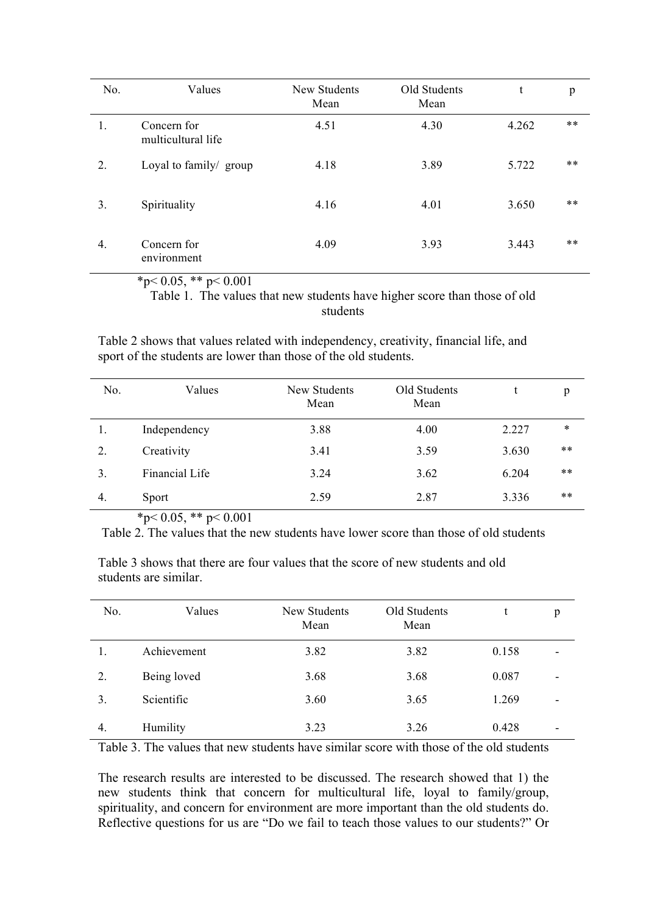| No. | Values                            | New Students<br>Mean | Old Students<br>Mean | t     | p     |
|-----|-----------------------------------|----------------------|----------------------|-------|-------|
| 1.  | Concern for<br>multicultural life | 4.51                 | 4.30                 | 4.262 | $***$ |
| 2.  | Loyal to family/ group            | 4.18                 | 3.89                 | 5.722 | $***$ |
| 3.  | Spirituality                      | 4.16                 | 4.01                 | 3.650 | $***$ |
| 4.  | Concern for<br>environment        | 4.09                 | 3.93                 | 3.443 | $***$ |

<sup>\*</sup>p< 0.05, \*\* p< 0.001

Table 1. The values that new students have higher score than those of old students

Table 2 shows that values related with independency, creativity, financial life, and sport of the students are lower than those of the old students.

| No. | Values         | New Students<br>Mean | Old Students<br>Mean |       | p      |
|-----|----------------|----------------------|----------------------|-------|--------|
| 1.  | Independency   | 3.88                 | 4.00                 | 2.227 | $\ast$ |
| 2.  | Creativity     | 3.41                 | 3.59                 | 3.630 | $***$  |
| 3.  | Financial Life | 3.24                 | 3.62                 | 6.204 | $***$  |
| 4.  | Sport          | 2.59                 | 2.87                 | 3.336 | $***$  |

 $*_{p<0.05,}$  \*\*  $p<0.001$ 

Table 2. The values that the new students have lower score than those of old students

Table 3 shows that there are four values that the score of new students and old students are similar.

| No. | Values      | New Students<br>Mean | Old Students<br>Mean | t     | p |
|-----|-------------|----------------------|----------------------|-------|---|
|     | Achievement | 3.82                 | 3.82                 | 0.158 |   |
| 2.  | Being loved | 3.68                 | 3.68                 | 0.087 |   |
| 3.  | Scientific  | 3.60                 | 3.65                 | 1.269 | ۰ |
| 4.  | Humility    | 3.23                 | 3.26                 | 0.428 |   |

 $\overline{\phantom{a}}$ 

Table 3. The values that new students have similar score with those of the old students

The research results are interested to be discussed. The research showed that 1) the new students think that concern for multicultural life, loyal to family/group, spirituality, and concern for environment are more important than the old students do. Reflective questions for us are "Do we fail to teach those values to our students?" Or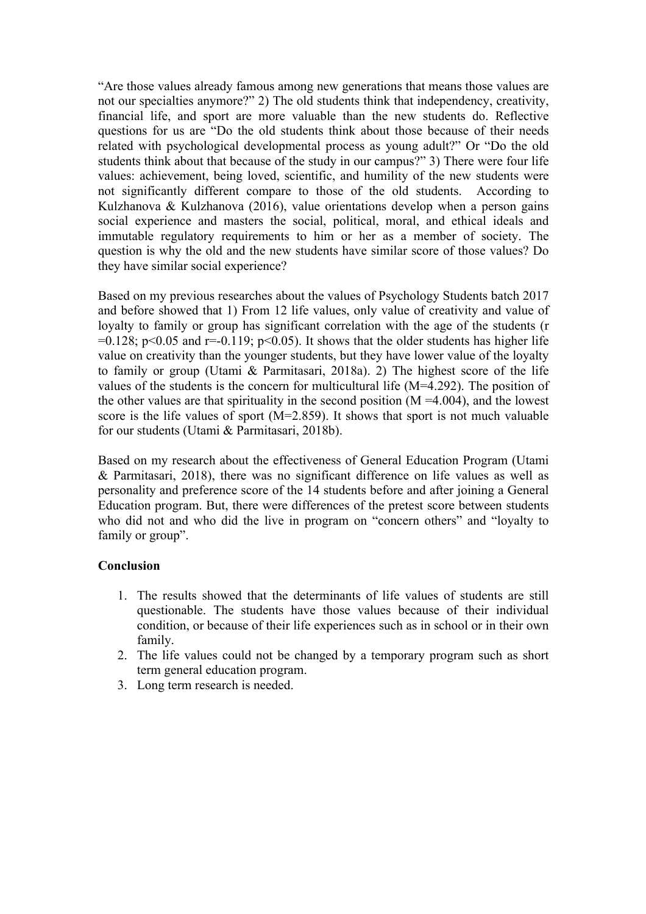"Are those values already famous among new generations that means those values are not our specialties anymore?" 2) The old students think that independency, creativity, financial life, and sport are more valuable than the new students do. Reflective questions for us are "Do the old students think about those because of their needs related with psychological developmental process as young adult?" Or "Do the old students think about that because of the study in our campus?" 3) There were four life values: achievement, being loved, scientific, and humility of the new students were not significantly different compare to those of the old students. According to Kulzhanova & Kulzhanova (2016), value orientations develop when a person gains social experience and masters the social, political, moral, and ethical ideals and immutable regulatory requirements to him or her as a member of society. The question is why the old and the new students have similar score of those values? Do they have similar social experience?

Based on my previous researches about the values of Psychology Students batch 2017 and before showed that 1) From 12 life values, only value of creativity and value of loyalty to family or group has significant correlation with the age of the students (r  $=0.128$ ; p<0.05 and r=-0.119; p<0.05). It shows that the older students has higher life value on creativity than the younger students, but they have lower value of the loyalty to family or group (Utami & Parmitasari, 2018a). 2) The highest score of the life values of the students is the concern for multicultural life (M=4.292). The position of the other values are that spirituality in the second position  $(M = 4.004)$ , and the lowest score is the life values of sport (M=2.859). It shows that sport is not much valuable for our students (Utami & Parmitasari, 2018b).

Based on my research about the effectiveness of General Education Program (Utami & Parmitasari, 2018), there was no significant difference on life values as well as personality and preference score of the 14 students before and after joining a General Education program. But, there were differences of the pretest score between students who did not and who did the live in program on "concern others" and "loyalty to family or group".

## **Conclusion**

- 1. The results showed that the determinants of life values of students are still questionable. The students have those values because of their individual condition, or because of their life experiences such as in school or in their own family.
- 2. The life values could not be changed by a temporary program such as short term general education program.
- 3. Long term research is needed.